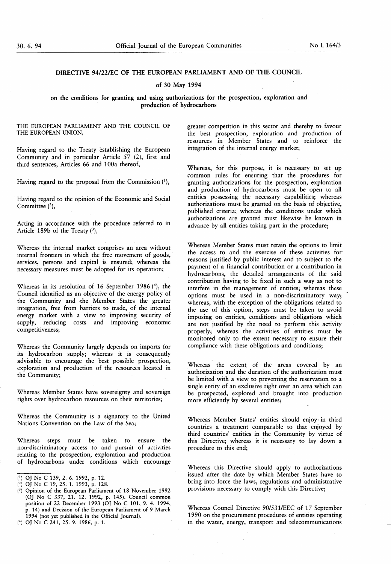# DIRECTIVE 94/22/EC OF THE EUROPEAN PARLIAMENT AND OF THE COUNCIL

### of 30 May 1994

## on the conditions for granting and using authorizations for the prospection, exploration and production of hydrocarbons

THE EUROPEAN PARLIAMENT AND THE COUNCIL OF THE EUROPEAN UNION,

Having regard to the Treaty establishing the European Community and in particular Article 57 (2), first and third sentences, Articles 66 and 100a thereof,

Having regard to the proposal from the Commission  $(1)$ ,

Having regard to the opinion of the Economic and Social Committee  $(2)$ ,

Acting in accordance with the procedure referred to in Article 189b of the Treaty  $(3)$ ,

Whereas the internal market comprises an area without internal frontiers in which the free movement of goods, services, persons and capital is ensured; whereas the necessary measures must be adopted for its operation;

Whereas in its resolution of 16 September 1986 ( $4$ ), the Council identified as an objective of the energy policy of the Community and the Member States the greater integration, free from barriers to trade, of the internal energy market with a view to improving security of supply, reducing costs and improving economic competitiveness;

Whereas the Community largely depends on imports for its hydrocarbon supply; whereas it is consequently advisable to encourage the best possible prospection, exploration and production of the resources located in the Community;

Whereas Member States have sovereignty and sovereign rights over hydrocarbon resources on their territories;

Whereas the Community is a signatory to the United Nations Convention on the Law of the Sea;

Whereas steps must be taken to ensure the non-discriminatory access to and pursuit of activities relating to the prospection, exploration and production of hydrocarbons under conditions which encourage

greater competition in this sector and thereby to favour the best prospection, exploration and production of resources in Member States and to reinforce the integration of the internal energy market;

Whereas, for this purpose, it is necessary to set up common rules for ensuring that the procedures for granting authorizations for the prospection, exploration and production of hydrocarbons must be open to all entities possessing the necessary capabilities; whereas authorizations must be granted on the basis of objective, published criteria; whereas the conditions under which authorizations are granted must likewise be known in advance by all entities taking part in the procedure;

Whereas Member States must retain the options to limit the access to and the exercise of these activities for reasons justified by public interest and to subject to the payment of a financial contribution or a contribution in hydrocarbons, the detailed arrangements of the said contribution having to be fixed in such a way as not to interfere in the management of entities; whereas these options must be used in a non-discriminatory way; whereas, with the exception of the obligations related to the use of this option, steps must be taken to avoid imposing on entities, conditions and obligations which are not justified by the need to perform this activity properly; whereas the activities of entities must be monitored only to the extent necessary to ensure their compliance with these obligations and conditions;

Whereas the extent of the areas covered by an authorization and the duration of the authorization must be limited with a view to preventing the reservation to a single entity of an exclusive right over an area which can be prospected, explored and brought into production more efficiently by several entities;

Whereas Member States' entities should enjoy in third countries a treatment comparable to that enjoyed by third countries' entities in the Community by virtue of this Directive; whereas it is necessary to lay down a procedure to this end;

Whereas this Directive should apply to authorizations issued after the date by which Member States have to bring into force the laws, regulations and administrative provisions necessary to comply with this Directive;

Whereas Council Directive 90/53 1/EEC of 17 September 1990 on the procurement procedures of entities operating in the water, energy, transport and telecommunications

O OJ No C 139, 2. 6. 1992, p. 12.

 $(2)$  OJ No C 19, 25. 1. 1993, p. 128.

 $(3)$  Opinion of the European Parliament of 18 November 1992 (OJ No C 337, 21. 12. 1992, p. 145). Council common position of 22 December 1993 (OJ No C 101, 9. 4. 1994, p. 14) and Decision of the European Parliament of 9 March 1994 (not yet published in the Official Journal).

<sup>(4)</sup> OJ No C 241, 25. 9. 1986, p. 1.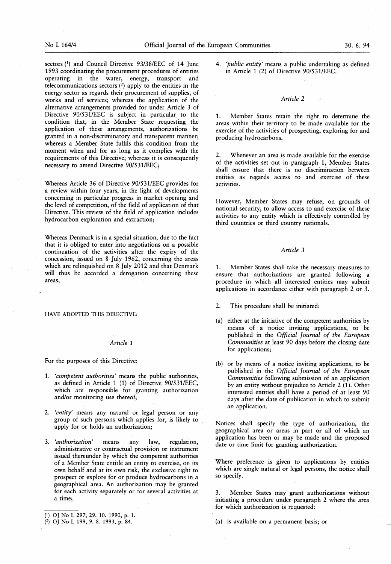sectors (1) and Council Directive 93/38/EEC of 14 June 1993 coordinating the procurement procedures of entities operating in the water, energy, transport and telecommunications sectors  $(2)$  apply to the entities in the energy sector as regards their procurement of supplies, of works and of services; whereas the application of the alternative arrangements provided for under Article 3 of Directive 90/531/EEC is subject in particular to the condition that, in the Member State requesting the application of these arrangements, authorizations be granted in a non-discriminatory and transparent manner; whereas a Member State fulfils this condition from the moment when and for as long as it complies with the requirements of this Directive; whereas it is consequently necessary to amend Directive 90/531/EEC;

Whereas Article 36 of Directive 90/531/EEC provides for a review within four years, in the light of developments concerning in particular progress in market opening and the level of competition, of the field of application of that Directive. This review of the field of application includes hydrocarbon exploration and extraction;

Whereas Denmark is in a special situation, due to the fact that it is obliged to enter into negotiations on a possible continuation of the activities after the expiry of the concession, issued on 8 July 1962, concerning the areas which are relinquished on 8 July 2012 and that Denmark will thus be accorded a derogation concerning these areas,

### HAVE ADOPTED THIS DIRECTIVE:

#### Article <sup>1</sup>

For the purposes of this Directive:

- 1. 'competent authorities' means the public authorities, as defined in Article 1 (1) of Directive 90/531/EEC, which are responsible for granting authorization and/or monitoring use thereof;
- 2. 'entity' means any natural or legal person or any group of such persons which applies for, is likely to apply for or holds an authorization;
- 3. 'authorization' means any law, regulation, administrative or contractual provision or instrument issued thereunder by which the competent authorities of a Member State entitle an entity to exercise, on its own behalf and at its own risk, the exclusive right to prospect or explore for or produce hydrocarbons in a geographical area. An authorization may be granted for each activity separately or for several activities at a time;

4. 'public entity' means a public undertaking as defined in Article <sup>1</sup> (2) of Directive 90/53 1/EEC.

### Article 2

1. Member States retain the right to determine the areas within their territory to be made available for the exercise of the activities of prospecting, exploring for and producing hydrocarbons.

2. Whenever an area is made available for the exercise of the activities set out in paragraph 1, Member States shall ensure that there is no discrimination between entities as regards access to and exercise of these activities.

However, Member States may refuse, on grounds of national security, to allow access to and exercise of these activities to any entity which is effectively controlled by third countries or third country nationals.

#### Article 3

1. Member States shall take the necessary measures to ensure that authorizations are granted following a procedure in which all interested entities may submit applications in accordance either with paragraph 2 or 3.

- 2. This procedure shall be initiated:
- (a) either at the initiative of the competent authorities by means of a notice inviting applications, to be published in the Official Journal of the European Communities at least 90 days before the closing date for applications;
- (b) or by means of a notice inviting applications, to be published in the Official Journal of the European Communities following submission of an application by an entity without prejudice to Article  $2(1)$ . Other interested entities shall have a period of at least 90 days after the date of publication in which to submit an application.

Notices shall specify the type of authorization, the geographical area or areas in part or all of which an application has been or may be made and the proposed date or time limit for granting authorization.

Where preference is given to applications by entities which are single natural or legal persons, the notice shall so specify.

Member States may grant authorizations without initiating a procedure under paragraph 2 where the area for which authorization is requested:

 $(a)$  is available on a permanent basis; or

<sup>(1)</sup> OJ No L 297, 29. 10. 1990, p. 1.

<sup>(2)</sup> OJ No L 199, 9. 8. 1993, p. 84.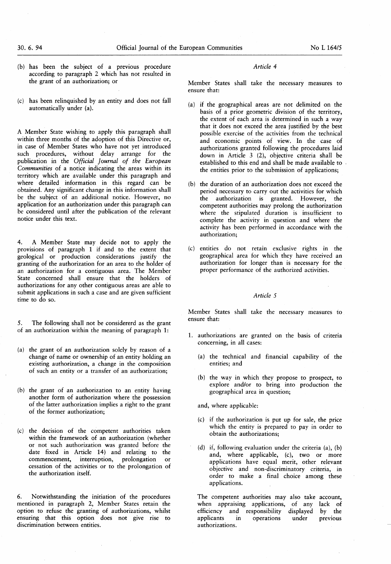- (b) has been the subject of a previous procedure according to paragraph 2 which has not resulted in the grant of an authorization; or
- (c) has been relinquished by an entity and does not fall automatically under  $(a)$ .

A Member State wishing to apply this paragraph shall within three months of the adoption of this Directive or, in case of Member States who have not yet introduced such procedures, without delay arrange for the publication in the Official Journal of the European Communities of a notice indicating the areas within its territory which are available under this paragraph and where detailed information in this regard can be obtained. Any significant change in this information shall be the subject of an additional notice. However, no application for an authorization under this paragraph can be considered until after the publication of the relevant notice under this text.

4. A Member State may decide not to apply the provisions of paragraph <sup>1</sup> if and to the extent that geological or production considerations justify the granting of the authorization for an area to the holder of an authorization for a contiguous area. The Member State concerned shall ensure that the holders of authorizations for any other contiguous areas are able to submit applications in such a case and are given sufficient time to do so.

5. The following shall not be considererd as the grant of an authorization within the meaning of paragraph 1:

- (a) the grant of an authorization solely by reason of a change of name or ownership of an entity holding an existing authorization, a change in the composition of such an entity or a transfer of an authorization;
- (b) the grant of an authorization to an entity having another form of authorization where the possession of the latter authorization implies a right to the grant of the former authorization;
- (c) the decision of the competent authorities taken within the framework of an authorization (whether or not such authorization was granted before the date fixed in Article 14) and relating to the commencement, interruption, prolongation or cessation of the activities or to the prolongation of the authorization itself.

6 . Notwithstanding the initiation of the procedures mentioned in paragraph 2, Member States retain the option to refuse the granting of authorizations, whilst ensuring that this option does not give rise to discrimination between entities.

# Article 4

Member States shall take the necessary measures to ensure that:

- (a) if the geographical areas are not delimited on the basis of a prior geometric division of the territory, the extent of each area is determined in such a way that it does not exceed the area justified by the best possible exercise of the activities from the technical and economic points of view. In the case of authorizations granted following the procedures laid down in Article 3 (2), objective criteria shall be established to this end and shall be made available to the entities prior to the submission of applications;
- (b) the duration of an authorization does not exceed the period necessary to carry out the activities for which the authorization is granted. However, the competent authorities may prolong the authorization where the stipulated duration is insufficient to complete the activity in question and where the activity has been performed in accordance with the authorization;
- (c) entities do not retain exclusive rights in the geographical area for which they have received an authorization for longer than is necessary for the proper performance of the authorized activities.

### Article 5

Member States shall take the necessary measures to ensure that:

- 1. authorizations are granted on the basis of criteria concerning, in all cases:
	- (a) the technical and financial capability of the entities; and
	- (b) the way in which they propose to prospect, to explore and/or to bring into production the geographical area in question;

and, where applicable:

- $(c)$  if the authorization is put up for sale, the price which the entity is prepared to pay in order to obtain the authorizations;
- (d) if, following evaluation under the criteria  $(a)$ ,  $(b)$ and, where applicable, (c), two or more applications have equal merit, other relevant objective and non-discriminatory criteria, in order to make a final choice among these applications.

The competent authorities may also take account, when appraising applications, of any lack of efficiency and responsibility displayed by the applicants in operations under previous operations under previous authorizations.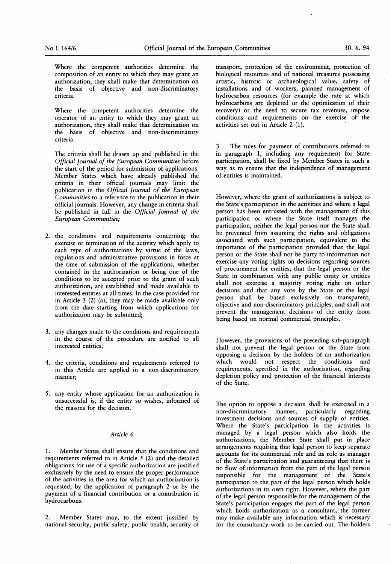Where the competent authorities determine the composition of an entity to which they may grant an authorization, they shall make that determination on the basis of objective and non-discriminatory criteria.

Where the competent authorities determine the operator of an entity to which they may grant an authorization, they shall make that determination on the basis of objective and non-discriminatory criteria.

The criteria shall be drawn up and published in the Official Journal of the European Communities before the start of the period for submission of applications. Member States which have already published the criteria in their official journals may limit the publication in the Official Journal of the European Communities to a reference to the publication in their official journals. However, any change in criteria shall be published in full in the Official Journal of the European Communities;

- 2. the conditions and requirements concerning the exercise or termination of the activity which apply to each type of authorizations by virtue of the laws, regulations and administrative provisions in force at the time of submission of the applications, whether contained in the authorization or being one of the conditions to be accepted prior to the grant of such authorization, are established and made available to interested entities at all times. In the case provided for in Article 3  $(2)$  (a), they may be made available only from the date starting from which applications for authorization may be submitted;
- 3. any changes made to the conditions and requirements in the course of the procedure are notified to all interested entities;
- 4. the criteria, conditions and requirements referred to in this Article are applied in a non-discriminatory manner;
- 5. any entity whose application for an authorization is unsuccessful is, if the entity so wishes, informed of the reasons for the decision.

### Article 6

1. Member States shall ensure that the conditions and requirements referred to in Article 5 (2) and the detailed obligations for use of a specific authorization are justified exclusively by the need to ensure the proper performance of the activities in the area for which an authorization is requested, by the application of paragraph 2 or by the payment of a financial contribution or a contribution in hydrocarbons.

2. Member States may, to the extent justified by national security, public safety, public health, security of

transport, protection of the environment, protection of biological resources and of national treasures possessing artistic, historic or archaeological value, safety of installations and of workers, planned management of hydrocarbon resources (for example the rate at which hydrocarbons are depleted or the optimization of their recovery) or the need to secure tax revenues, impose conditions and requirements on the exercise of the activities set out in Article 2 (1).

3. The rules for payment of contributions referred to in paragraph 1, including any requirement for State participation, shall be fixed by Member States in such a way as to ensure that the independence of management of entities is maintained.

However, where the grant of authorizations is subject to the State's participation in the activities and where a legal person has been entrusted with the management of this participation or where the State itself manages the participation, neither the legal person nor the State shall be prevented from assuming the rights and obligations associated with such participation, equivalent to the importance of the participation provided that the legal person or the State shall not be party to information nor exercise any voting rights on decisions regarding sources of procurement for entities, that the legal person or the State in combination with any public entity or entities shall not exercise a majority voting right on other decisions and that any vote by the State or the legal person shall be based exclusively on transparent, objective and non-discriminatory principles, and shall not prevent the management decisions of the entity from being based on normal commercial principles.

However, the provisions of the preceding sub-paragraph shall not prevent the legal person or the State from opposing a decision by the holders of an authorization which would not respect the conditions and requirements, specified in the authorization, regarding depletion policy and protection of the financial interests of the State.

The option to oppose a decision shall be exercised in a non-discriminatory manner, particularly regarding investment decisions and sources of supply of entities. Where the State's participation in the activities is managed by a legal person which also holds the authorizations, the Member State shall put in place arrangements requiring that legal person to keep separate accounts for its commercial role and its role as manager of the State's participation and guaranteeing that there is no flow of information from the part of the legal person responsible for the management of the State's participation to the part of the legal person which holds authorizations in its own right. However, where the part of the legal person responsible for the management of the State's participation engages the part of the legal person which holds authorization as a consultant, the former may make available any information which is necessary for the consultancy work to be carried out. The holders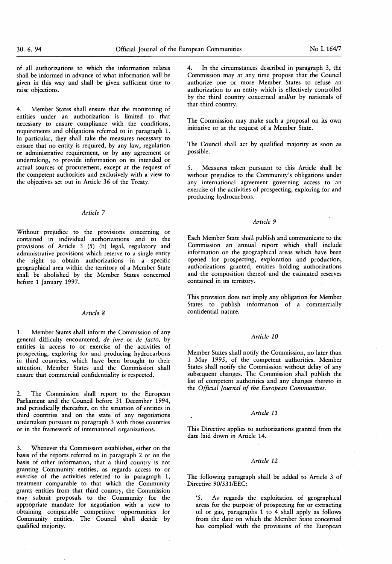of all authorizations to which the information relates shall be informed in advance of what information will be given in this way and shall be given sufficient time to raise objections.

4. Member States shall ensure that the monitoring of entities under an authorization is limited to that necessary to ensure compliance with the conditions, requirements and obligations referred to in paragraph 1. In particular, they shall take the measures necessary to ensure that no entity is required, by any law, regulation or administrative requirement, or by any agreement or undertaking, to provide information on its intended or actual sources of procurement, except at the request of the competent authorities and exclusively with a view to the objectives set out in Article 36 of the Treaty.

## Article 7

Without prejudice to the provisions concerning or contained in individual authorizations and to the provisions of Article  $3$  (5) (b) legal, regulatory and administrative provisions which reserve to a single entity the right to obtain authorizations in a specific geographical area within the territory of a Member State shall be abolished by the Member States concerned before <sup>1</sup> January 1997.

### Article 8

1. Member States shall inform the Commission of any general difficulty encountered, de jure or de facto, by entities in access to or exercise of the activities of prospecting, exploring for and producing hydrocarbons in third countries, which have been brought to their attention. Member States and the Commission shall ensure that commercial confidentiality is respected.

2. The Commission shall report to the European Parliament and the Council before 31 December 1994, and periodically thereafter, on the situation of entities in third countries and on the state of any negotiations undertaken pursuant to paragraph 3 with those countries or in the framework of international organizations.

3. Whenever the Commission establishes, either on the basis of the reports referred to in paragraph 2 or on the basis of other information, that a third country is not granting Community entities, as regards access to or exercise of the activities referred to in paragraph 1, treatment comparable to that which the Community grants entities from that third country, the Commission may submit proposals to the Community for the appropriate mandate for negotiation with a view to obtaining comparable competitive opportunities for Community entities. The Council shall decide by qualified majority.

In the circumstances described in paragraph 3, the Commission may at any time propose that the Council authorize one or more Member States to refuse an authorization to an entity which is effectively controlled by the third country concerned and/or by nationals of that third country.

The Commission may make such a proposal on its own initiative or at the request of a Member State.

The Council shall act by qualified majority as soon as possible.

5. Measures taken pursuant to this Article shall be without prejudice to the Community's obligations under any international agreement governing access to an exercise of the activities of prospecting, exploring for and producing hydrocarbons.

# Article 9

Each Member State shall publish and communicate to the Commission an annual report which shall include information on the geographical areas which have been opened for prospecting, exploration and production, authorizations granted, entities holding authorizations and the composition thereof and the estimated reserves contained in its territory.

This provision does not imply any obligation for Member States to publish information of a commercially confidential nature.

#### Article 10

Member States shall notify the Commission, no later than <sup>1</sup> May 1995, of the competent authorities. Member States shall notify the Commission without delay of any subsequent changes. The Commission shall publish the list of competent authorities and any changes thereto in the Official Journal of the European Communities.

## Article 11

This Directive applies to authorizations granted from the date laid down in Article 14.

#### Article 12

The following paragraph shall be added to Article 3 of Directive 90/531/EEC:

'5. As regards the exploitation of geographical areas for the purpose of prospecting for or extracting oil or gas, paragraphs <sup>1</sup> to 4 shall apply as follows from the date on which the Member State concerned has complied with the provisions of the European